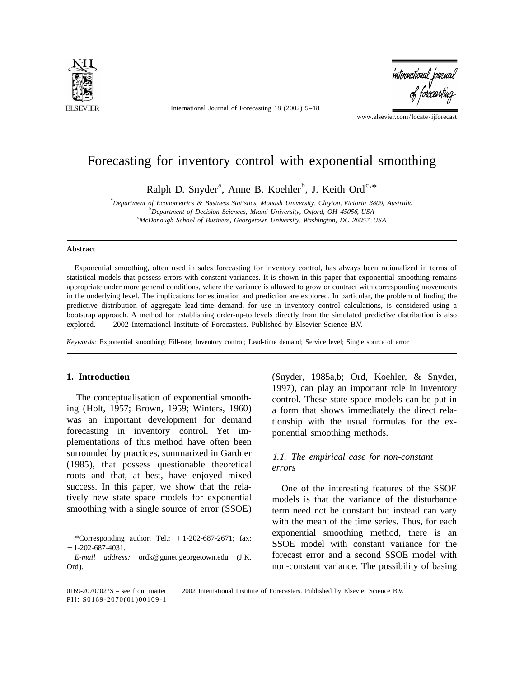

International Journal of Forecasting 18 (2002) 5–18

'mternational journal<br>of forecasting

www.elsevier.com/locate/ijforecast

## Forecasting for inventory control with exponential smoothing

Ralph D. Snyder<sup>a</sup>, Anne B. Koehler<sup>b</sup>, J. Keith Ord<sup>c,\*</sup>

a *Department of Econometrics* & *Business Statistics*, *Monash University*, *Clayton*, *Victoria* 3800, *Australia* b *Department of Decision Sciences*, *Miami University*, *Oxford*, *OH* 45056, *USA*

c *McDonough School of Business*, *Georgetown University*, *Washington*, *DC* 20057, *USA*

### **Abstract**

Exponential smoothing, often used in sales forecasting for inventory control, has always been rationalized in terms of statistical models that possess errors with constant variances. It is shown in this paper that exponential smoothing remains appropriate under more general conditions, where the variance is allowed to grow or contract with corresponding movements in the underlying level. The implications for estimation and prediction are explored. In particular, the problem of finding the predictive distribution of aggregate lead-time demand, for use in inventory control calculations, is considered using a bootstrap approach. A method for establishing order-up-to levels directly from the simulated predictive distribution is also explored.  $\oslash$  2002 International Institute of Forecasters. Published by Elsevier Science B.V.

*Keywords*: Exponential smoothing; Fill-rate; Inventory control; Lead-time demand; Service level; Single source of error

ing (Holt, 1957; Brown, 1959; Winters, 1960) a form that shows immediately the direct rela-<br>was an important development for demand tionship with the usual formulas for the exforecasting in inventory control. Yet im- ponential smoothing methods. plementations of this method have often been surrounded by practices, summarized in Gardner 1.1. *The empirical case for non-constant* (1985), that possess questionable theoretical *errors* roots and that, at best, have enjoyed mixed success. In this paper, we show that the rela- One of the interesting features of the SSOE tively new state space models for exponential models is that the variance of the disturbance

**1. Introduction** (Snyder, 1985a,b; Ord, Koehler, & Snyder, 1997), can play an important role in inventory The conceptualisation of exponential smooth-<br>control. These state space models can be put in tionship with the usual formulas for the ex-

smoothing with a single source of error (SSOE) term need not be constant but instead can vary with the mean of the time series. Thus, for each exponential smoothing method, there is an<br>
<sup>\*</sup>Corresponding author. Tel.: +1-202-687-2671; fax: SSOE model with constant variance for the<br> *F*-mail address: ord<sup>k@</sup>qunet georgetown edu (LK) forecast error and a second SSOE Ord). non-constant variance. The possibility of basing

*E-mail address:* ordk@gunet.georgetown.edu (J.K.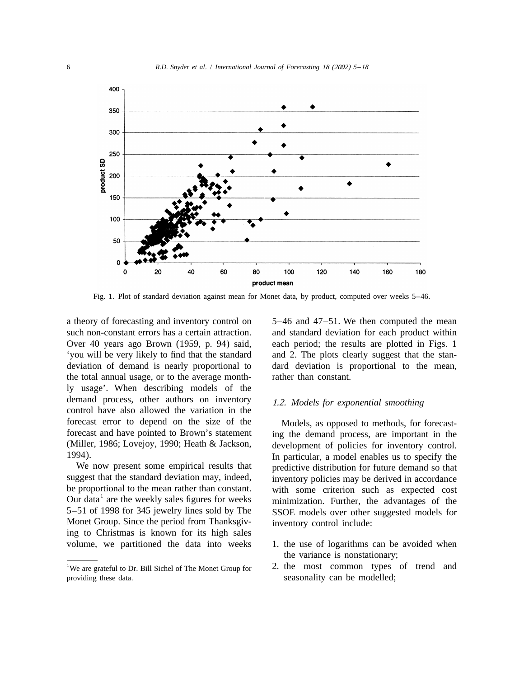

Fig. 1. Plot of standard deviation against mean for Monet data, by product, computed over weeks 5–46.

such non-constant errors has a certain attraction. and standard deviation for each product within Over 40 years ago Brown (1959, p. 94) said, each period; the results are plotted in Figs. 1<br>'you will be very likely to find that the standard and 2. The plots clearly suggest that the stan-'you will be very likely to find that the standard deviation of demand is nearly proportional to dard deviation is proportional to the mean, the total annual usage, or to the average month- rather than constant. ly usage'. When describing models of the demand process, other authors on inventory 1.2. *Models for exponential smoothing* control have also allowed the variation in the forecast error to depend on the size of the Models, as opposed to methods, for forecast-<br>forecast and have pointed to Brown's statement in the demand process are important in the forecast and have pointed to Brown's statement ing the demand process, are important in the (Miller, 1986; Lovejoy, 1990; Heath & Jackson, development of policies for inventory control (Miller, 1986; Lovejoy, 1990; Heath & Jackson, development of policies for inventory control.<br>1994). In particular a model enables us to specify the

Monet Group. Since the period from Thanksgiv-<br>inventory control include: ing to Christmas is known for its high sales volume, we partitioned the data into weeks 1. the use of logarithms can be avoided when

a theory of forecasting and inventory control on 5–46 and 47–51. We then computed the mean

94). In particular, a model enables us to specify the<br>We now present some empirical results that redictive distribution for future demand so that We now present some empirical results that predictive distribution for future demand so that suggest that the standard deviation may, indeed, inventory policies may be derived in accordance suggest that the standard deviation may, indeed, inventory policies may be derived in accordance<br>be proportional to the mean rather than constant. With some criterion such as expected cost be proportional to the mean rather than constant.<br>
Our data<sup>1</sup> are the weekly sales figures for weeks<br>
5-51 of 1998 for 345 jewelry lines sold by The<br>
SSOE models over other suggested models for SSOE models over other suggested models for

- the variance is nonstationary;
- <sup>1</sup>We are grateful to Dr. Bill Sichel of The Monet Group for 2. the most common types of trend and

providing these data. Seasonality can be modelled;